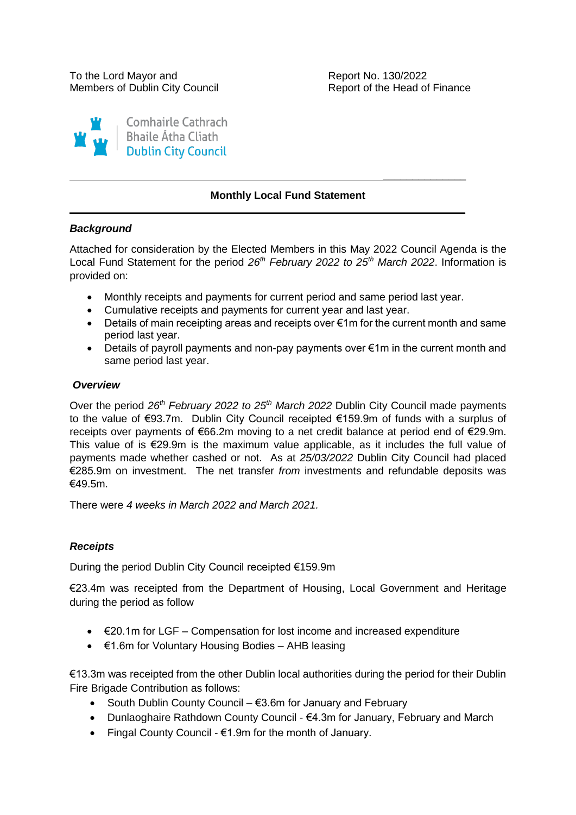$\overline{\phantom{a}}$  , where  $\overline{\phantom{a}}$ 

 $\overline{\phantom{a}}$ 



# **Monthly Local Fund Statement**

## *Background*

Attached for consideration by the Elected Members in this May 2022 Council Agenda is the Local Fund Statement for the period *26th February 2022 to 25th March 2022*. Information is provided on:

- Monthly receipts and payments for current period and same period last year.
- Cumulative receipts and payments for current year and last year.
- Details of main receipting areas and receipts over €1m for the current month and same period last year.
- Details of payroll payments and non-pay payments over €1m in the current month and same period last year.

## *Overview*

Over the period *26th February 2022 to 25th March 2022* Dublin City Council made payments to the value of €93.7m. Dublin City Council receipted €159.9m of funds with a surplus of receipts over payments of €66.2m moving to a net credit balance at period end of €29.9m. This value of is €29.9m is the maximum value applicable, as it includes the full value of payments made whether cashed or not. As at *25/03/2022* Dublin City Council had placed €285.9m on investment. The net transfer *from* investments and refundable deposits was €49.5m.

There were *4 weeks in March 2022 and March 2021.*

# *Receipts*

During the period Dublin City Council receipted €159.9m

€23.4m was receipted from the Department of Housing, Local Government and Heritage during the period as follow

- €20.1m for LGF Compensation for lost income and increased expenditure
- €1.6m for Voluntary Housing Bodies AHB leasing

€13.3m was receipted from the other Dublin local authorities during the period for their Dublin Fire Brigade Contribution as follows:

- South Dublin County Council  $€3.6m$  for January and February
- Dunlaoghaire Rathdown County Council €4.3m for January, February and March
- Fingal County Council  $€1.9m$  for the month of January.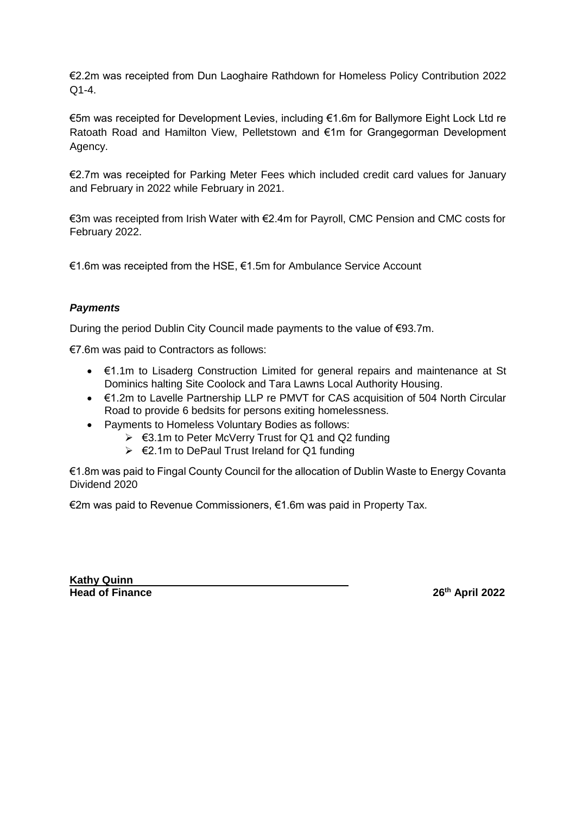€2.2m was receipted from Dun Laoghaire Rathdown for Homeless Policy Contribution 2022 Q1-4.

€5m was receipted for Development Levies, including €1.6m for Ballymore Eight Lock Ltd re Ratoath Road and Hamilton View, Pelletstown and €1m for Grangegorman Development Agency.

€2.7m was receipted for Parking Meter Fees which included credit card values for January and February in 2022 while February in 2021.

€3m was receipted from Irish Water with €2.4m for Payroll, CMC Pension and CMC costs for February 2022.

€1.6m was receipted from the HSE, €1.5m for Ambulance Service Account

# *Payments*

During the period Dublin City Council made payments to the value of €93.7m.

€7.6m was paid to Contractors as follows:

- €1.1m to Lisaderg Construction Limited for general repairs and maintenance at St Dominics halting Site Coolock and Tara Lawns Local Authority Housing.
- €1.2m to Lavelle Partnership LLP re PMVT for CAS acquisition of 504 North Circular Road to provide 6 bedsits for persons exiting homelessness.
- Payments to Homeless Voluntary Bodies as follows:
	- €3.1m to Peter McVerry Trust for Q1 and Q2 funding
	- €2.1m to DePaul Trust Ireland for Q1 funding

€1.8m was paid to Fingal County Council for the allocation of Dublin Waste to Energy Covanta Dividend 2020

€2m was paid to Revenue Commissioners, €1.6m was paid in Property Tax.

**Kathy Quinn<br>Head of Finance** 

**Head of Finance 26th April 2022**